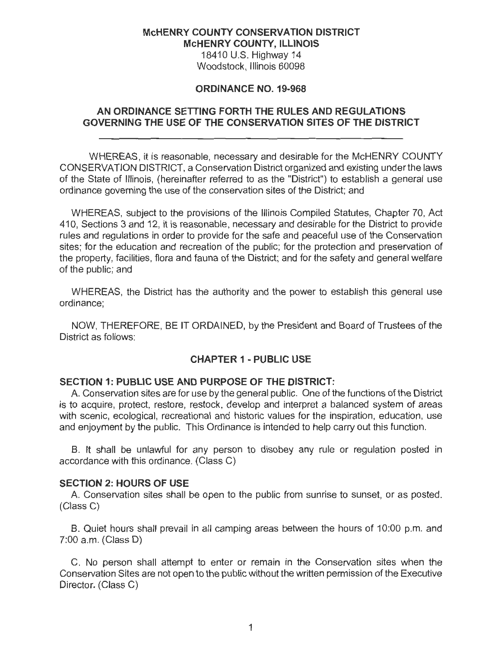### **McHENRY COUNTY CONSERVATION DISTRICT McHENRY COUNTY, ILLINOIS**

18410 U.S. Highway 14 Woodstock, Illinois 60098

### **ORDINANCE NO. 19-968**

## **AN ORDINANCE SETTING FORTH THE RULES AND REGULATIONS GOVERNING THE USE OF THE CONSERVATION SITES OF THE DISTRICT**

WHEREAS, it is reasonable, necessary and desirable for the McHENRY COUNTY CONSERVATION DISTRICT, a Conservation District organized and existing underthe laws of the State of Illinois, (hereinafter referred to as the "District") to establish a general use ordinance governing the use of the conservation sites of the District; and

WHEREAS, subject to the provisions of the Illinois Compiled Statutes, Chapter 70, Act 410, Sections 3 and 12, it is reasonable, necessary and desirable for the District to provide rules and regulations in order to provide for the safe and peaceful use of the Conservation sites; for the education and recreation of the public; for the protection and preservation of the property, facilities, flora and fauna of the District; and for the safety and general welfare of the public; and

WHEREAS, the District has the authority and the power to establish this general use ordinance;

NOW, THEREFORE, BE IT ORDAINED, by the President and Board of Trustees of the District as follows:

## **CHAPTER 1 - PUBLIC USE**

### **SECTION 1: PUBLIC USE AND PURPOSE OF THE DISTRICT:**

A. Conservation sites are for use by the general public. One of the functions of the District is to acquire, protect, restore, restock, develop and interpret a balanced system of areas with scenic, ecological, recreational and historic values for the inspiration, education, use and enjoyment by the public. This Ordinance is intended to help carry out this function.

B. It shall be unlawful for any person to disobey any rule or regulation posted in accordance with this ordinance. (Class C)

### **SECTION 2: HOURS OF USE**

A. Conservation sites shall be open to the public from sunrise to sunset, or as posted. (Class C)

B. Quiet hours shall prevail in all camping areas between the hours of 10:00 p.m. and 7:00 a.m. (Class D)

C. No person shall attempt to enter or remain in the Conservation sites when the Conservation Sites are not open to the public without the written permission of the Executive Director. (Class C)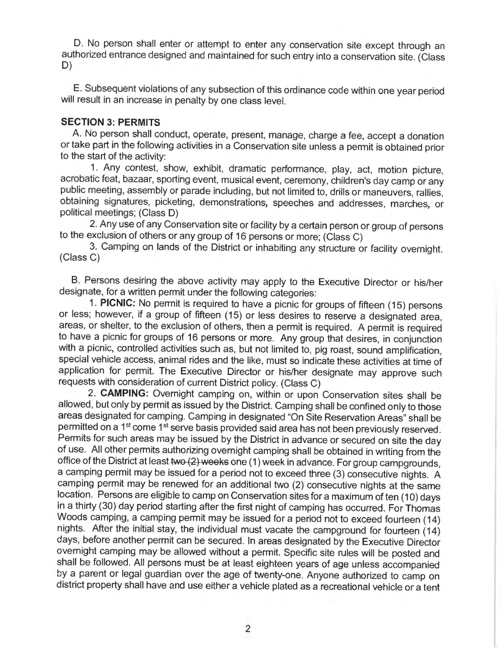D. No person shall enter or attempt to enter any conservation site except through an authorized entrance designed and maintained for such entry into a conservation site. (Class D)

E. Subsequent violations of any subsection of this ordinance code within one year period will result in an increase in penalty by one class level.

### **SECTION 3: PERMITS**

A. No person shall conduct, operate, present, manage, charge a fee, accept a donation or take part in the following activities in a Conservation site unless a permit is obtained prior to the start of the activity:

1. Any contest, show, exhibit, dramatic performance, play, act, motion picture, acrobatic feat, bazaar, sporting event, musical event, ceremony, children's day camp or any public meeting, assembly or parade including, but not limited to, drills or maneuvers, rallies, obtaining signatures, picketing, demonstrations, speeches and addresses, marches, or political meetings; (Class D)

2. Any use of any Conservation site or facility by a certain person or group of persons to the exclusion of others or any group of 16 persons or more; (Class C)

3. Camping on lands of the District or inhabiting any structure or facility overnight. (Class C)

8. Persons desiring the above activity may apply to the Executive Director or his/her designate, for a written permit under the following categories:

1. **PICNIC:** No permit is required to have a picnic for groups of fifteen (15) persons or less; however, if a group of fifteen (15) or less desires to reserve a designated area, areas, or shelter, to the exclusion of others, then a permit is required. A permit is required to have a picnic for groups of 16 persons or more. Any group that desires, in conjunction with a picnic, controlled activities such as, but not limited to, pig roast, sound amplification, special vehicle access, animal rides and the like, must so indicate these activities at time of application for permit. The Executive Director or his/her designate may approve such requests with consideration of current District policy. (Class C)

2. **CAMPING:** Overnight camping on, within or upon Conservation sites shall be allowed, but only by permit as issued by the District. Camping shall be confined only to those areas designated for camping. Camping in designated "On Site Reservation Areas" shall be permitted on a 1<sup>st</sup> come 1<sup>st</sup> serve basis provided said area has not been previously reserved. Permits for such areas may be issued by the District in advance or secured on site the day of use. All other permits authorizing overnight camping shall be obtained in writing from the office of the District at least two (2) weeks one (1) week in advance. For group campgrounds, a camping permit may be issued for a period not to exceed three (3) consecutive nights. A camping permit may be renewed for an additional two (2) consecutive nights at the same location. Persons are eligible to camp on Conservation sites for a maximum of ten (10) days in a thirty (30) day period starting after the first night of camping has occurred. For Thomas Woods camping, a camping permit may be issued for a period not to exceed fourteen (14) nights. After the initial stay, the individual must vacate the campground for fourteen (14) days, before another permit can be secured. In areas designated by the Executive Director overnight camping may be allowed without a permit. Specific site rules will be posted and shall be followed. All persons must be at least eighteen years of age unless accompanied by a parent or legal guardian over the age of twenty-one. Anyone authorized to camp on district property shall have and use either a vehicle plated as a recreational vehicle or a tent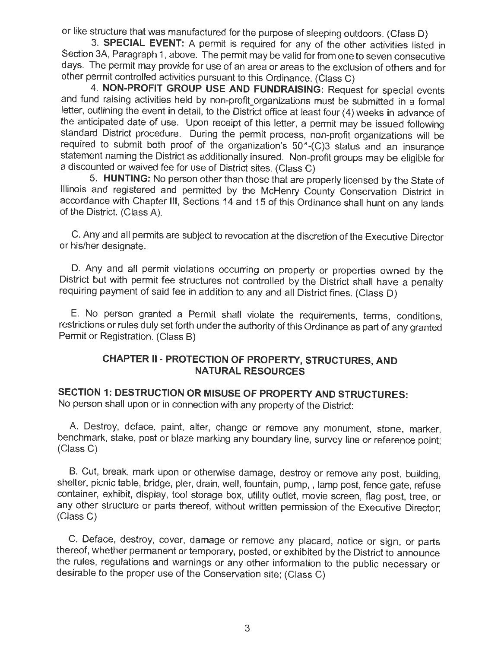or like structure that was manufactured for the purpose of sleeping outdoors. (Class D)

3. **SPECIAL EVENT:** A permit is required for any of the other activities listed in Section 3A, Paragraph 1, above. The permit may be valid for from one to seven consecutive days. The permit may provide for use of an area or areas to the exclusion of others and for other permit controlled activities pursuant to this Ordinance. (Class C)

4. **NON-PROFIT GROUP USE AND FUNDRAISING:** Request for special events and fund raising activities held by non-profit organizations must be submitted in a formal letter, outlining the event in detail, to the District office at least four (4) weeks in advance of the anticipated date of use. Upon receipt of this letter, a permit may be issued following standard District procedure. During the permit process, non-profit organizations will be required to submit both proof of the organization's 501 -(C)3 status and an insurance statement naming the District as additionally insured. Non-profit groups may be eligible for a discounted or waived fee for use of District sites. (Class C)

5. **HUNTING:** No person other than those that are properly licensed by the State of Illinois and registered and permitted by the McHenry County Conservation District in accordance with Chapter 111, Sections 14 and 15 of this Ordinance shall hunt on any lands of the District. (Class A).

C. Any and all permits are subject to revocation at the discretion of the Executive Director or his/her designate.

D. Any and all permit violations occurring on property or properties owned by the District but with permit fee structures not controlled by the District shall have a penalty requiring payment of said fee in addition to any and all District fines. (Class D)

E. No person granted a Permit shall violate the requirements, terms, conditions, restrictions or rules duly set forth under the authority of this Ordinance as part of any granted Permit or Registration. (Class 8)

# **CHAPTER** II • **PROTECTION OF PROPERTY, STRUCTURES, AND NATURAL RESOURCES**

**SECTION 1: DESTRUCTION OR MISUSE OF PROPERTY AND STRUCTURES:** 

No person shall upon or in connection with any property of the District:

A. Destroy, deface, paint, alter, change or remove any monument, stone, marker, benchmark, stake, post or blaze marking any boundary line, survey line or reference point; (Class C)

B. Cut, break, mark upon or otherwise damage, destroy or remove any post, building, shelter, picnic table, bridge, pier, drain, well, fountain, pump, , lamp post, fence gate, refuse container, exhibit, display, tool storage box, utility outlet, movie screen, flag post, tree, or any other structure or parts thereof, without written permission of the Executive Director; (Class C)

C. Deface, destroy, cover, damage or remove any placard, notice or sign, or parts thereof, whether permanent or temporary, posted, or exhibited by the District to announce the rules, regulations and warnings or any other information to the public necessary or desirable to the proper use of the Conservation site; (Class C)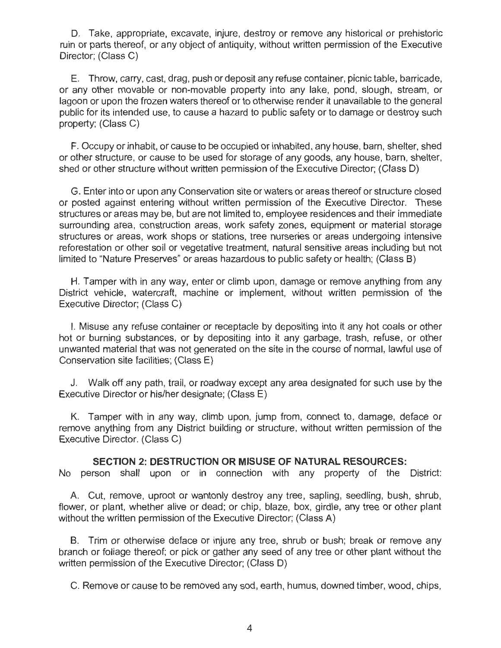D. Take, appropriate, excavate, injure, destroy or remove any historical or prehistoric ruin or parts thereof, or any object of antiquity, without written permission of the Executive Director; (Class C)

E. Throw, carry, cast, drag, push or deposit any refuse container, picnic table, barricade, or any other movable or non-movable property into any lake, pond, slough, stream, or lagoon or upon the frozen waters thereof or to otherwise render it unavailable to the general public for its intended use, to cause a hazard to public safety or to damage or destroy such property; (Class C)

F. Occupy or inhabit, or cause to be occupied or inhabited, any house, barn, shelter, shed or other structure, or cause to be used for storage of any goods, any house, barn, shelter, shed or other structure without written permission of the Executive Director; (Class D)

G. Enter into or upon any Conservation site or waters or areas thereof or structure closed or posted against entering without written permission of the Executive Director. These structures or areas may be, but are not limited to, employee residences and their immediate surrounding area, construction areas, work safety zones, equipment or material storage structures or areas, work shops or stations, tree nurseries or areas undergoing intensive reforestation or other soil or vegetative treatment, natural sensitive areas including but not limited to "Nature Preserves" or areas hazardous to public safety or health; (Class B)

H. Tamper with in any way, enter or climb upon, damage or remove anything from any District vehicle, watercraft, machine or implement, without written permission of the Executive Director; (Class C)

I. Misuse any refuse container or receptacle by depositing into it any hot coals or other hot or burning substances, or by depositing into it any garbage, trash, refuse, or other unwanted material that was not generated on the site in the course of normal, lawful use of Conservation site facilities; (Class E)

J. Walk off any path, trail, or roadway except any area designated for such use by the Executive Director or his/her designate; (Class E)

K. Tamper with in any way, climb upon, jump from, connect to, damage, deface or remove anything from any District building or structure, without written permission of the Executive Director. (Class C)

**SECTION 2: DESTRUCTION OR MISUSE OF NATURAL RESOURCES:** 

No person shall upon or in connection with any property of the District:

A. Cut, remove, uproot or wantonly destroy any tree, sapling, seedling, bush, shrub, flower, or plant, whether alive or dead; or chip, blaze, box, girdle, any tree or other plant without the written permission of the Executive Director; (Class A)

B. Trim or otherwise deface or injure any tree, shrub or bush; break or remove any branch or foliage thereof; or pick or gather any seed of any tree or other plant without the written permission of the Executive Director; (Class D)

C. Remove or cause to be removed any sod, earth, humus, downed timber, wood, chips,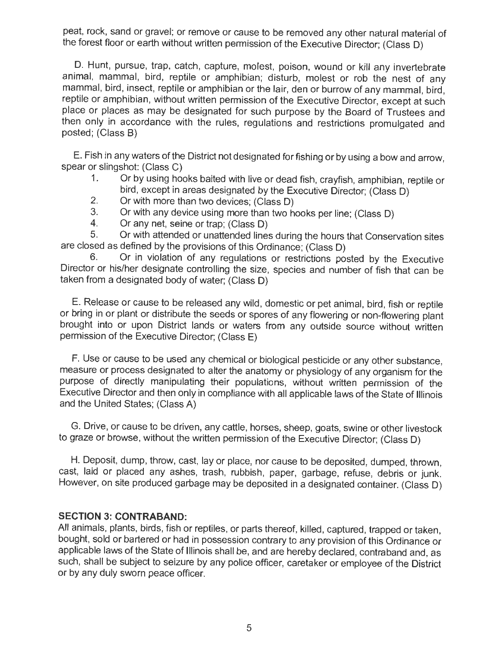peat, rock, sand or gravel; or remove or cause to be removed any other natural material of the forest floor or earth without written permission of the Executive Director; (Class D)

D. Hunt, pursue, trap, catch, capture, molest, poison, wound or kill any invertebrate animal, mammal, bird, reptile or amphibian; disturb, molest or rob the nest of any mammal, bird, insect, reptile or amphibian or the lair, den or burrow of any mammal, bird, reptile or amphibian, without written permission of the Executive Director, except at such place or places as may be designated for such purpose by the Board of Trustees and then only in accordance with the rules, regulations and restrictions promulgated and posted; (Class B)

E. Fish in any waters of the District not designated for fishing or by using a bow and arrow, spear or slingshot: (Class C)

- 1. Or by using hooks baited with live or dead fish, crayfish, amphibian, reptile or bird, except in areas designated by the Executive Director; (Class **D)**
- 2. Or with more than two devices; (Class D)
- 3. Or with any device using more than two hooks per line; (Class D)
- 4. Or any net, seine or trap; (Class D)

5. Or with attended or unattended lines during the hours that Conservation sites are closed as defined by the provisions of this Ordinance; (Class **D)** 

6. Or in violation of any regulations or restrictions posted by the Executive Director or his/her designate controlling the size, species and number of fish that can be taken from a designated body of water; (Class **D)** 

**E.** Release or cause to be released any wild, domestic or pet animal, bird, fish or reptile or bring in or plant or distribute the seeds or spores of any flowering or non-flowering plant brought into or upon District lands or waters from any outside source without written permission of the Executive Director; (Class **E)** 

**F.** Use or cause to be used any chemical or biological pesticide or any other substance, measure or process designated to alter the anatomy or physiology of any organism for the purpose of directly manipulating their populations, without written permission of the Executive Director and then only in compliance with all applicable laws of the State of Illinois and the United States; (Class A)

G. Drive, or cause to be driven, any cattle, horses, sheep, goats, swine or other livestock to graze or browse, without the written permission of the Executive Director; (Class **D)** 

**H.** Deposit, dump, throw, cast, lay or place, nor cause to be deposited, dumped, thrown, cast, laid or placed any ashes, trash, rubbish, paper, garbage, refuse, debris or junk. However, on site produced garbage may be deposited in a designated container. (Class D)

### **SECTION 3: CONTRABAND:**

All animals, plants, birds, fish or reptiles, or parts thereof, killed, captured, trapped or taken, bought, sold or bartered or had in possession contrary to any provision of this Ordinance or applicable laws of the State of Illinois shall be, and are hereby declared, contraband and, as such, shall be subject to seizure by any police officer, caretaker or employee of the District or by any duly sworn peace officer.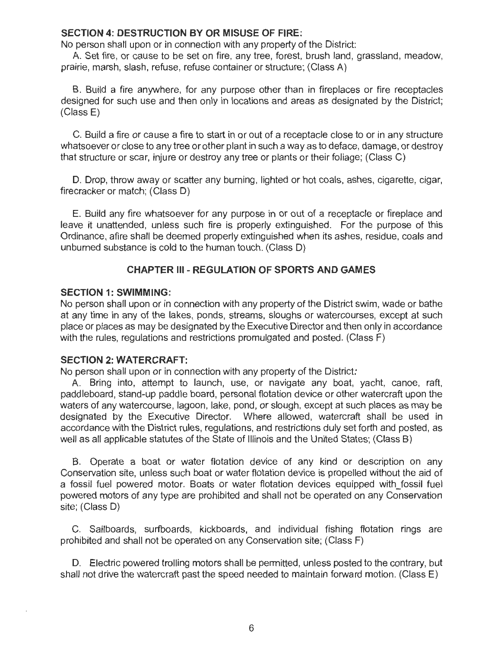### **SECTION 4: DESTRUCTION BY OR MISUSE OF FIRE:**

No person shall upon or in connection with any property of the District:

A. Set fire, or cause to be set on fire, any tree, forest, brush land, grassland, meadow, prairie, marsh, slash, refuse, refuse container or structure; (Class A)

8. Build a fire anywhere, for any purpose other than in fireplaces or fire receptacles designed for such use and then only in locations and areas as designated by the District; (Class E)

C. Build a fire or cause a fire to start in or out of a receptacle close to or in any structure whatsoever or close to any tree or other plant in such a way as to deface, damage, or destroy that structure or scar, injure or destroy any tree or plants or their foliage; (Class C)

D. Drop, throw away or scatter any burning, lighted or hot coals, ashes, cigarette, cigar, firecracker or match; (Class D)

E. Build any fire whatsoever for any purpose in or out of a receptacle or fireplace and leave it unattended, unless such fire is properly extinguished. For the purpose of this Ordinance, afire shall be deemed properly extinguished when its ashes, residue, coals and unburned substance is cold to the human touch. (Class D)

### **CHAPTER 111 - REGULATION OF SPORTS AND GAMES**

### **SECTION 1: SWIMMING:**

No person shall upon or in connection with any property of the District swim, wade or bathe at any time in any of the lakes, ponds, streams, sloughs or watercourses, except at such place or places as may be designated by the Executive Director and then only in accordance with the rules, regulations and restrictions promulgated and posted. (Class F)

### **SECTION 2: WATERCRAFT:**

No person shall upon or in connection with any property of the District:

A. Bring into, attempt to launch, use, or navigate any boat, yacht, canoe, raft, paddleboard, stand-up paddle board, personal flotation device or other watercraft upon the waters of any watercourse, lagoon, lake, pond, or slough, except at such places as may be designated by the Executive Director. Where allowed, watercraft shall be used in accordance with the District rules, regulations, and restrictions duly set forth and posted, as well as all applicable statutes of the State of Illinois and the United States; (Class 8)

8 . Operate a boat or water flotation device of any kind or description on any Conservation site, unless such boat or water flotation device is propelled without the aid of a fossil fuel powered motor. Boats or water flotation devices equipped with fossil fuel powered motors of any type are prohibited and shall not be operated on any Conservation site; (Class D)

C. Sailboards, surfboards, kickboards, and individual fishing flotation rings are prohibited and shall not be operated on any Conservation site; (Class F)

D. Electric powered trolling motors shall be permitted, unless posted to the contrary, but shall not drive the watercraft past the speed needed to maintain forward motion. (Class E)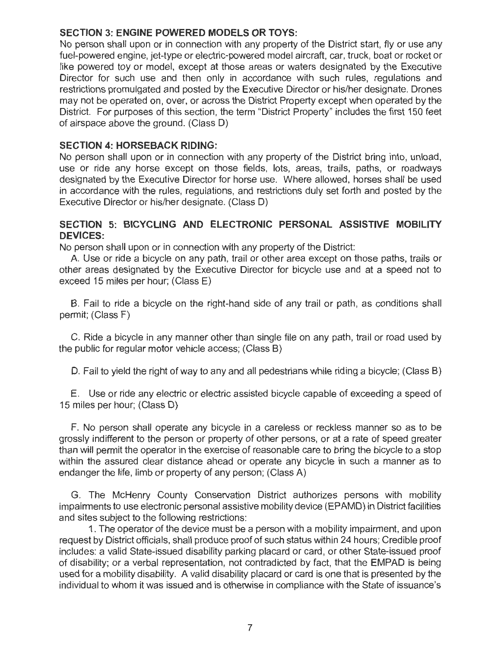## **SECTION 3: ENGINE POWERED MODELS OR TOYS:**

No person shall upon or in connection with any property of the District start, fly or use any fuel-powered engine, jet-type or electric-powered model aircraft, car, truck, boat or rocket or like powered toy or model, except at those areas or waters designated by the Executive Director for such use and then only in accordance with such rules, regulations and restrictions promulgated and posted by the Executive Director or his/her designate. Drones may not be operated on, over, or across the District Property except when operated by the District. For purposes of this section, the term "District Property" includes the first 150 feet of airspace above the ground. (Class D)

### **SECTION 4: HORSEBACK RIDING:**

No person shall upon or in connection with any property of the District bring into, unload, use or ride any horse except on those fields, lots, areas, trails, paths, or roadways designated by the Executive Director for horse use. Where allowed, horses shall be used in accordance with the rules, regulations, and restrictions duly set forth and posted by the Executive Director or his/her designate. (Class D)

### **SECTION 5: BICYCLING AND ELECTRONIC PERSONAL ASSISTIVE MOBILITY DEVICES:**

No person shall upon or in connection with any property of the District:

A. Use or ride a bicycle on any path, trail or other area except on those paths, trails or other areas designated by the Executive Director for bicycle use and at a speed not to exceed 15 miles per hour; (Class E)

B. Fail to ride a bicycle on the right-hand side of any trail or path, as conditions shall permit; (Class F)

C. Ride a bicycle in any manner other than single file on any path, trail or road used by the public for regular motor vehicle access; (Class B)

D. Fail to yield the right of way to any and all pedestrians while riding a bicycle; (Class B)

E. Use or ride any electric or electric assisted bicycle capable of exceeding a speed of 15 miles per hour; (Class D)

F. No person shall operate any bicycle in a careless or reckless manner so as to be grossly indifferent to the person or property of other persons, or at a rate of speed greater than will permit the operator in the exercise of reasonable care to bring the bicycle to a stop within the assured clear distance ahead or operate any bicycle in such a manner as to endanger the life, limb or property of any person; (Class A)

G. The McHenry County Conservation District authorizes persons with mobility impairments to use electronic personal assistive mobility device (EPAMD) in District facilities and sites subject to the following restrictions:

1. The operator of the device must be a person with a mobility impairment, and upon request by District officials, shall produce proof of such status within 24 hours; Credible proof includes: a valid State-issued disability parking placard or card, or other State-issued proof of disability; or a verbal representation, not contradicted by fact, that the EMPAD is being used for a mobility disability. A valid disability placard or card is one that is presented by the individual to whom it was issued and is otherwise in compliance with the State of issuance's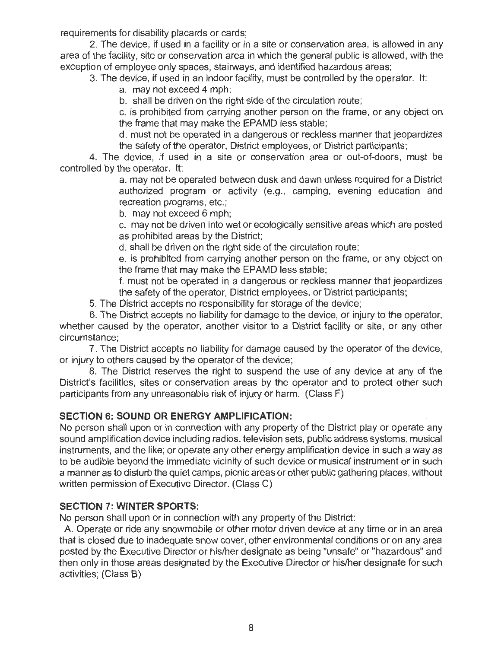requirements for disability placards or cards;

2. The device, if used in a facility or in a site or conservation area, is allowed in any area of the facility, site or conservation area in which the general public is allowed, with the exception of employee only spaces, stairways, and identified hazardous areas;

3. The device, if used in an indoor facility, must be controlled by the operator. It:

a. may not exceed 4 mph;

b. shall be driven on the right side of the circulation route;

c. is prohibited from carrying another person on the frame, or any object on the frame that may make the EPAMD less stable;

d. must not be operated in a dangerous or reckless manner that jeopardizes the safety of the operator, District employees, or District participants;

4. The device, if used in a site or conservation area or out-of-doors, must be controlled by the operator. It:

> a. may not be operated between dusk and dawn unless required for a District authorized program or activity (e.g., camping, evening education and recreation programs, etc.;

b. may not exceed 6 mph;

c. may not be driven into wet or ecologically sensitive areas which are posted as prohibited areas by the District;

d. shall be driven on the right side of the circulation route;

e. is prohibited from carrying another person on the frame, or any object on the frame that may make the EPAMD less stable;

f. must not be operated in a dangerous or reckless manner that jeopardizes the safety of the operator, District employees, or District participants;

5. The District accepts no responsibility for storage of the device;

6. The District accepts no liability for damage to the device, or injury to the operator, whether caused by the operator, another visitor to a District facility or site, or any other circumstance;

7. The District accepts no liability for damage caused by the operator of the device, or injury to others caused by the operator of the device;

8. The District reserves the right to suspend the use of any device at any of the District's facilities, sites or conservation areas by the operator and to protect other such participants from any unreasonable risk of injury or harm. (Class F)

## **SECTION 6: SOUND OR ENERGY AMPLIFICATION:**

No person shall upon or in connection with any property of the District play or operate any sound amplification device including radios, television sets, public address systems, musical instruments, and the like; or operate any other energy amplification device in such a way as to be audible beyond the immediate vicinity of such device or musical instrument or in such a manner as to disturb the quiet camps, picnic areas or other public gathering places, without written permission of Executive Director. (Class C)

## **SECTION 7: WINTER SPORTS:**

No person shall upon or in connection with any property of the District:

A. Operate or ride any snowmobile or other motor driven device at any time or in an area that is closed due to inadequate snow cover, other environmental conditions or on any area posted by the Executive Director or his/her designate as being "unsafe" or "hazardous" and then only in those areas designated by the Executive Director or his/her designate for such activities; (Class B)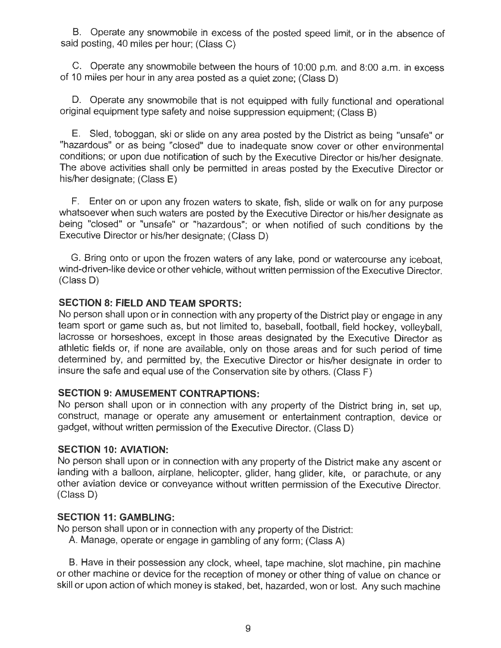B. Operate any snowmobile in excess of the posted speed limit, or in the absence of said posting, 40 miles per hour; (Class C)

C. Operate any snowmobile between the hours of 10:00 p.m. and 8:00 a.m. in excess of 10 miles per hour in any area posted as a quiet zone; (Class D)

D. Operate any snowmobile that is not equipped with fully functional and operational original equipment type safety and noise suppression equipment; (Class B)

E. Sled, toboggan, ski or slide on any area posted by the District as being "unsafe" or "hazardous" or as being "closed" due to inadequate snow cover or other environmental conditions; or upon due notification of such by the Executive Director or his/her designate. The above activities shall only be permitted in areas posted by the Executive Director or his/her designate; (Class E)

F. Enter on or upon any frozen waters to skate, fish, slide or walk on for any purpose whatsoever when such waters are posted by the Executive Director or his/her designate as being "closed" or "unsafe" or "hazardous"; or when notified of such conditions by the Executive Director or his/her designate; (Class D)

G. Bring onto or upon the frozen waters of any lake, pond or watercourse any iceboat, wind-driven-like device or other vehicle, without written permission of the Executive Director. (Class D)

# **SECTION 8: FIELD AND TEAM SPORTS:**

No person shall upon or in connection with any property of the District play or engage in any team sport or game such as, but not limited to, baseball, football, field hockey, volleyball, lacrosse or horseshoes, except in those areas designated by the Executive Director as athletic fields or, if none are available, only on those areas and for such period of time determined by, and permitted by, the Executive Director or his/her designate in order to insure the safe and equal use of the Conservation site by others. (Class F)

### **SECTION 9: AMUSEMENT CONTRAPTIONS:**

No person shall upon or in connection with any property of the District bring in, set up, construct, manage or operate any amusement or entertainment contraption, device or gadget, without written permission of the Executive Director. (Class D)

### **SECTION 10: AVIATION:**

No person shall upon or in connection with any property of the District make any ascent or landing with a balloon, airplane, helicopter, glider, hang glider, kite, or parachute, or any other aviation device or conveyance without written permission of the Executive Director. (Class D)

### **SECTION 11: GAMBLING:**

No person shall upon or in connection with any property of the District:

A. Manage, operate or engage in gambling of any form; (Class A)

B. Have in their possession any clock, wheel, tape machine, slot machine, pin machine or other machine or device for the reception of money or other thing of value on chance or skill or upon action of which money is staked, bet, hazarded, won or lost. Any such machine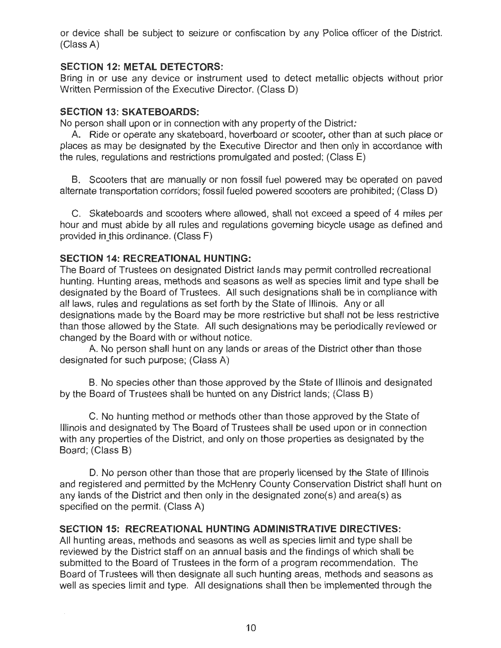or device shall be subject to seizure or confiscation by any Police officer of the District. (Class A)

# **SECTION 12: METAL DETECTORS:**

Bring in or use any device or instrument used to detect metallic objects without prior Written Permission of the Executive Director. (Class D)

# **SECTION 13: SKATEBOARDS:**

No person shall upon or in connection with any property of the District:

A. Ride or operate any skateboard, hoverboard or scooter, other than at such place or places as may be designated by the Executive Director and then only in accordance with the rules, regulations and restrictions promulgated and posted; (Class E)

B. Scooters that are manually or non fossil fuel powered may be operated on paved alternate transportation corridors; fossil fueled powered scooters are prohibited; (Class D)

C. Skateboards and scooters where allowed, shall not exceed a speed of 4 miles per hour and must abide by all rules and regulations governing bicycle usage as defined and provided in this ordinance. (Class F)

# **SECTION 14: RECREATIONAL HUNTING:**

 $\bar{z}$ 

The Board of Trustees on designated District lands may permit controlled recreational hunting. Hunting areas, methods and seasons as well as species limit and type shall be designated by the Board of Trustees. All such designations shall be in compliance with all laws, rules and regulations as set forth by the State of Illinois. Any or all designations made by the Board may be more restrictive but shall not be less restrictive than those allowed by the State. All such designations may be periodically reviewed or changed by the Board with or without notice.

A. No person shall hunt on any lands or areas of the District other than those designated for such purpose; (Class A)

B. No species other than those approved by the State of Illinois and designated by the Board of Trustees shall be hunted on any District lands; (Class B)

C. No hunting method or methods other than those approved by the State of Illinois and designated by The Board of Trustees shall be used upon or in connection with any properties of the District, and only on those properties as designated by the Board; (Class B)

D. No person other than those that are properly licensed by the State of Illinois and registered and permitted by the McHenry County Conservation District shall hunt on any lands of the District and then only in the designated zone(s) and area(s) as specified on the permit. (Class A)

# **SECTION 15: RECREATIONAL HUNTING ADMINISTRATIVE DIRECTIVES:**

All hunting areas, methods and seasons as well as species limit and type shall be reviewed by the District staff on an annual basis and the findings of which shall be submitted to the Board of Trustees in the form of a program recommendation. The Board of Trustees will then designate all such hunting areas, methods and seasons as well as species limit and type. All designations shall then be implemented through the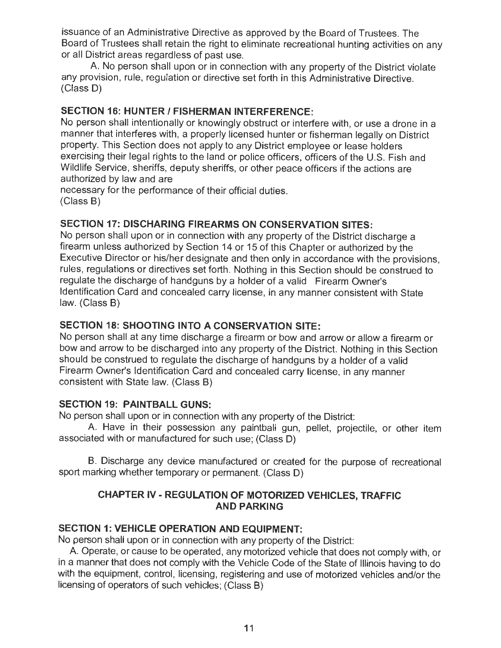issuance of an Administrative Directive as approved by the Board of Trustees. The Board of Trustees shall retain the right to eliminate recreational hunting activities on any or all District areas regardless of past use.

A. No person shall upon or in connection with any property of the District violate any provision, rule, regulation or directive set forth in this Administrative Directive. (Class D)

# **SECTION 16: HUNTER/ FISHERMAN INTERFERENCE:**

No person shall intentionally or knowingly obstruct or interfere with, or use a drone in a manner that interferes with, a properly licensed hunter or fisherman legally on District property. This Section does not apply to any District employee or lease holders exercising their legal rights to the land or police officers, officers of the U.S. Fish and Wildlife Service, sheriffs, deputy sheriffs, or other peace officers if the actions are authorized by law and are

necessary for the performance of their official duties. (Class B)

# **SECTION 17: DISCHARING FIREARMS ON CONSERVATION SITES:**

No person shall upon or in connection with any property of the District discharge a firearm unless authorized by Section 14 or 15 of this Chapter or authorized by the Executive Director or his/her designate and then only in accordance with the provisions, rules, regulations or directives set forth. Nothing in this Section should be construed to regulate the discharge of handguns by a holder of a valid Firearm Owner's Identification Card and concealed carry license, in any manner consistent with State law. (Class B)

# **SECTION 18: SHOOTING INTO A CONSERVATION SITE:**

No person shall at any time discharge a firearm or bow and arrow or allow a firearm or bow and arrow to be discharged into any property of the District. Nothing in this Section should be construed to regulate the discharge of handguns by a holder of a valid Firearm Owner's Identification Card and concealed carry license, in any manner consistent with State law. (Class B)

# **SECTION 19: PAINTBALL GUNS:**

No person shall upon or in connection with any property of the District:

A. Have in their possession any paintball gun, pellet, projectile, or other item associated with or manufactured for such use; (Class D)

B. Discharge any device manufactured or created for the purpose of recreational sport marking whether temporary or permanent. (Class D)

# **CHAPTER IV- REGULATION OF MOTORIZED VEHICLES, TRAFFIC AND PARKING**

# **SECTION 1: VEHICLE OPERATION AND EQUIPMENT:**

No person shall upon or in connection with any property of the District:

A. Operate, or cause to be operated, any motorized vehicle that does not comply with, or in a manner that does not comply with the Vehicle Code of the State of Illinois having to do with the equipment, control, licensing, registering and use of motorized vehicles and/or the licensing of operators of such vehicles; (Class B)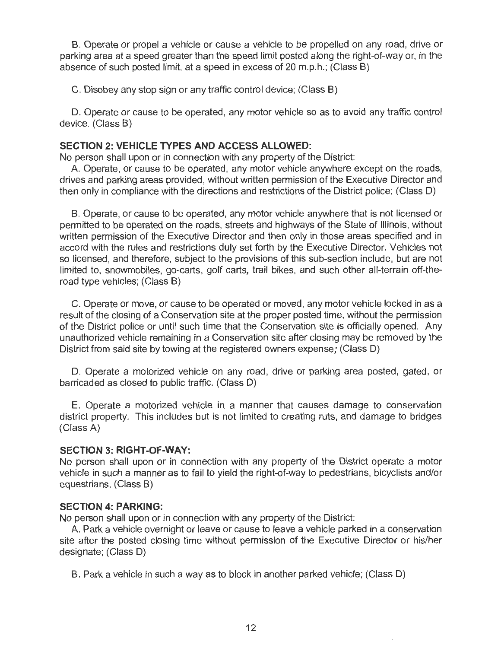**B.** Operate or propel a vehicle or cause a vehicle to be propelled on any road, drive or parking area at a speed greater than the speed limit posted along the right-of-way or, in the absence of such posted limit, at a speed in excess of 20 m.p.h.; (Class B)

C. Disobey any stop sign or any traffic control device; (Class B)

**D.** Operate or cause to be operated, any motor vehicle so as to avoid any traffic control device. (Class **B)** 

### **SECTION 2: VEHICLE TYPES AND ACCESS ALLOWED:**

No person shall upon or in connection with any property of the District:

A. Operate, or cause to be operated, any motor vehicle anywhere except on the roads, drives and parking areas provided, without written permission of the Executive Director and then only in compliance with the directions and restrictions of the District police; (Class D)

B. Operate, or cause to be operated, any motor vehicle anywhere that is not licensed or permitted to be operated on the roads, streets and highways of the State of Illinois, without written permission of the Executive Director and then only in those areas specified and in accord with the rules and restrictions duly set forth by the Executive Director. Vehicles not so licensed, and therefore, subject to the provisions of this sub-section include, but are not limited to, snowmobiles, go-carts, golf carts, trail bikes, and such other all-terrain off-theroad type vehicles; (Class **B)** 

C. Operate or move, or cause to be operated or moved, any motor vehicle locked in as a result of the closing of a Conservation site at the proper posted time, without the permission of the District police or until such time that the Conservation site is officially opened. Any unauthorized vehicle remaining in a Conservation site after closing may be removed by the District from said site by towing at the registered owners expense; (Class **D)** 

D. Operate a motorized vehicle on any road, drive or parking area posted, gated, or barricaded as closed to public traffic. (Class **D)** 

E. Operate a motorized vehicle in a manner that causes damage to conservation district property. This includes but is not limited to creating ruts, and damage to bridges (Class A)

### **SECTION 3: RIGHT-OF-WAY:**

No person shall upon or in connection with any property of the District operate a motor vehicle in such a manner as to fail to yield the right-of-way to pedestrians, bicyclists and/or equestrians. (Class **B)** 

### **SECTION 4: PARKING:**

No person shall upon or in connection with any property of the District:

A. Park a vehicle overnight or leave or cause to leave a vehicle parked in a conservation site after the posted closing time without permission of the Executive Director or his/her designate; (Class D)

**B.** Park a vehicle in such a way as to block in another parked vehicle; (Class **D)**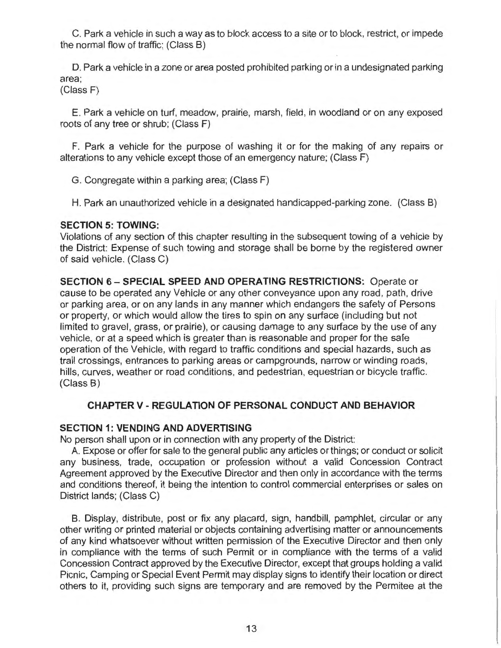C. Park a vehicle in such a way as to block access to a site or to block, restrict, or impede the normal flow of traffic; (Class B)

D. Park a vehicle in a zone or area posted prohibited parking or in a undesignated parking area;

(Class F)

E. Park a vehicle on turf, meadow, prairie, marsh, field, in woodland or on any exposed roots of any tree or shrub; (Class F)

F. Park a vehicle for the purpose of washing it or for the making of any repairs or alterations to any vehicle except those of an emergency nature; (Class F)

G. Congregate within a parking area; (Class F)

H. Park an unauthorized vehicle in a designated handicapped-parking zone. (Class B)

### **SECTION 5: TOWING:**

Violations of any section of this chapter resulting in the subsequent towing of a vehicle by the District: Expense of such towing and storage shall be borne by the registered owner of said vehicle. (Class C)

**SECTION 6 - SPECIAL SPEED AND OPERATING RESTRICTIONS:** Operate or cause to be operated any Vehicle or any other conveyance upon any road, path, drive or parking area, or on any lands in any manner which endangers the safety of Persons or property, or which would allow the tires to spin on any surface (including but not limited to gravel, grass, or prairie), or causing damage to any surface by the use of any vehicle, or at a speed which is greater than is reasonable and proper for the safe operation of the Vehicle, with regard to traffic conditions and special hazards, such as trail crossings, entrances to parking areas or campgrounds, narrow or winding roads, hills, curves, weather or road conditions, and pedestrian, equestrian or bicycle traffic. (Class B)

### **CHAPTERV- REGULATION OF PERSONAL CONDUCT AND BEHAVIOR**

### **SECTION 1: VENDING AND ADVERTISING**

No person shall upon or in connection with any property of the District:

A. Expose or offer for sale to the general public any articles or things; or conduct or solicit any business, trade, occupation or profession without a valid Concession Contract Agreement approved by the Executive Director and then only in accordance with the terms and conditions thereof, it being the intention to control commercial enterprises or sales on District lands; (Class C)

B. Display, distribute, post or fix any placard, sign, handbill, pamphlet, circular or any other writing or printed material or objects containing advertising matter or announcements of any kind whatsoever without written permission of the Executive Director and then only in compliance with the terms of such Permit or in compliance with the terms of a valid Concession Contract approved by the Executive Director, except that groups holding a valid Picnic, Camping or Special Event Permit may display signs to identify their location or direct others to it, providing such signs are temporary and are removed by the Permitee at the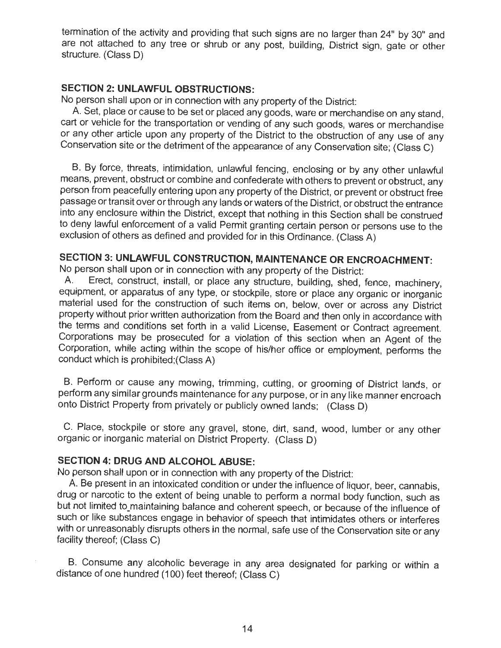termination of the activity and providing that such signs are no larger than 24" by 30" and are not attached to any tree or shrub or any post, building, District sign, gate or other structure. (Class D)

### **SECTION 2: UNLAWFUL OBSTRUCTIONS:**

No person shall upon or in connection with any property of the District:

A. Set, place or cause to be set or placed any goods, ware or merchandise on any stand, cart or vehicle for the transportation or vending of any such goods, wares or merchandise or any other article upon any property of the District to the obstruction of any use of any Conservation site or the detriment of the appearance of any Conservation site; (Class C)

B. By force, threats, intimidation, unlawful fencing, enclosing or by any other unlawful means, prevent, obstruct or combine and confederate with others to prevent or obstruct, any person from peacefully entering upon any property of the District, or prevent or obstruct free passage or transit over or through any lands or waters of the District, or obstruct the entrance into any enclosure within the District, except that nothing in this Section shall be construed to deny lawful enforcement of a valid Permit granting certain person or persons use to the exclusion of others as defined and provided for in this Ordinance. (Class A)

# **SECTION 3: UNLAWFUL CONSTRUCTION, MAINTENANCE OR ENCROACHMENT:**

No person shall upon or in connection with any property of the District:

A. Erect, construct, install, or place any structure, building, shed, fence, machinery, equipment, or apparatus of any type, or stockpile, store or place any organic or inorganic material used for the construction of such items on, below, over or across any District property without prior written authorization from the Board and then only in accordance with the terms and conditions set forth in a valid License, Easement or Contract agreement. Corporations may be prosecuted for a violation of this section when an Agent of the Corporation, while acting within the scope of his/her office or employment, performs the conduct which is prohibited;(Class A)

B. Perform or cause any mowing, trimming, cutting, or grooming of District lands, or perform any similar grounds maintenance for any purpose, or in any like manner encroach onto District Property from privately or publicly owned lands; (Class D)

C. Place, stockpile or store any gravel, stone, dirt, sand, wood, lumber or any other organic or inorganic material on District Property. (Class D)

### **SECTION 4: DRUG AND ALCOHOL ABUSE:**

No person shall upon or in connection with any property of the District:

A. Be present in an intoxicated condition or under the influence of liquor, beer, cannabis, drug or narcotic to the extent of being unable to perform a normal body function, such as but not limited to\_maintaining balance and coherent speech, or because of the influence of such or like substances engage in behavior of speech that intimidates others or interferes with or unreasonably disrupts others in the normal, safe use of the Conservation site or any facility thereof; (Class C)

B. Consume any alcoholic beverage in any area designated for parking or within a distance of one hundred (100) feet thereof; (Class C)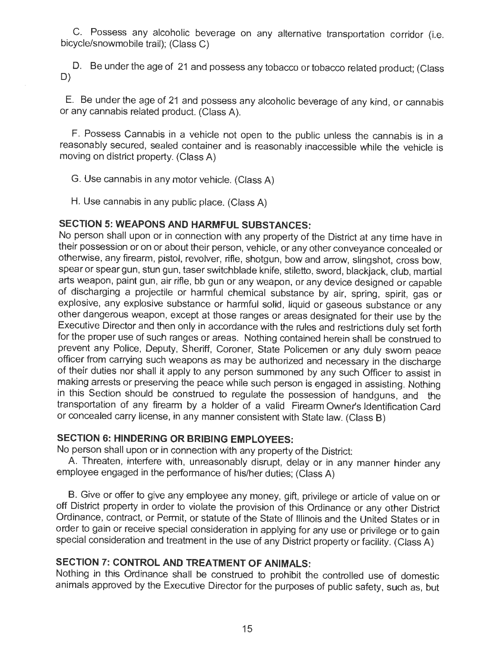C. Possess any alcoholic beverage on any alternative transportation corridor (i.e. bicycle/snowmobile trail); (Class C)

D. Be under the age of 21 and possess any tobacco or tobacco related product; (Class D)

E. Be under the age of 21 and possess any alcoholic beverage of any kind, or cannabis or any cannabis related product. (Class A).

F. Possess Cannabis in a vehicle not open to the public unless the cannabis is in a reasonably secured, sealed container and is reasonably inaccessible while the vehicle is moving on district property. (Class A)

G. Use cannabis in any motor vehicle. (Class A)

H. Use cannabis in any public place. (Class A)

# **SECTION 5: WEAPONS AND HARMFUL SUBSTANCES:**

No person shall upon or in connection with any property of the District at any time have in their possession or on or about their person, vehicle, or any other conveyance concealed or otherwise, any firearm, pistol, revolver, rifle, shotgun, bow and arrow, slingshot, cross bow, spear or spear gun, stun gun, taser switchblade knife, stiletto, sword, blackjack, club, martial arts weapon, paint gun, air rifle, bb gun or any weapon, or any device designed or capable of discharging a projectile or harmful chemical substance by air, spring, spirit, gas or explosive, any explosive substance or harmful solid, liquid or gaseous substance or any other dangerous weapon, except at those ranges or areas designated for their use by the Executive Director and then only in accordance with the rules and restrictions duly set forth for the proper use of such ranges or areas. Nothing contained herein shall be construed to prevent any Police, Deputy, Sheriff, Coroner, State Policemen or any duly sworn peace officer from carrying such weapons as may be authorized and necessary in the discharge of their duties nor shall it apply to any person summoned by any such Officer to assist in making arrests or preserving the peace while such person is engaged in assisting. Nothing in this Section should be construed to regulate the possession of handguns, and the transportation of any firearm by a holder of a valid Firearm Owner's Identification Card or concealed carry license, in any manner consistent with State law. (Class B)

# **SECTION 6: HINDERING OR BRIBING EMPLOYEES:**

No person shall upon or in connection with any property of the District:

A. Threaten, interfere with, unreasonably disrupt, delay or in any manner hinder any employee engaged in the performance of his/her duties; (Class A)

B. Give or offer to give any employee any money, gift, privilege or article of value on or off District property in order to violate the provision of this Ordinance or any other District Ordinance, contract, or Permit, or statute of the State of Illinois and the United States or in order to gain or receive special consideration in applying for any use or privilege or to gain special consideration and treatment in the use of any District property or facility. (Class A)

# **SECTION 7: CONTROL AND TREATMENT OF ANIMALS:**

Nothing in this Ordinance shall be construed to prohibit the controlled use of domestic animals approved by the Executive Director for the purposes of public safety, such as, but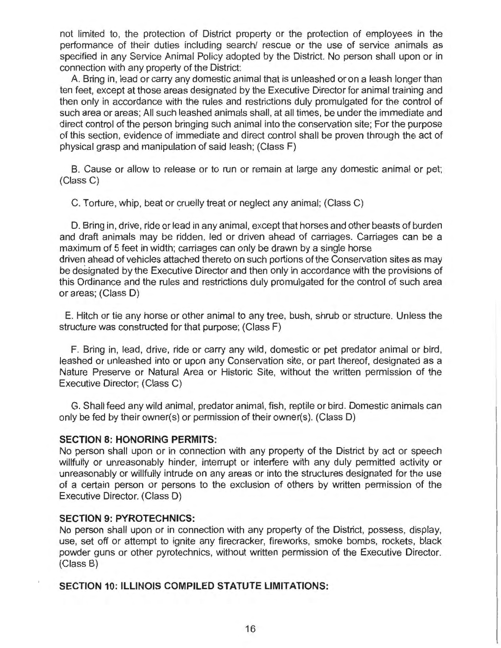not limited to, the protection of District property or the protection of employees in the performance of their duties including search/ rescue or the use of service animals as specified in any Service Animal Policy adopted by the District. No person shall upon or in connection with any property of the District:

A. Bring in, lead or carry any domestic animal that is unleashed or on a leash longer than ten feet, except at those areas designated by the Executive Director for animal training and then only in accordance with the rules and restrictions duly promulgated for the control of such area or areas; All such leashed animals shall, at all times, be under the immediate and direct control of the person bringing such animal into the conservation site; For the purpose of this section, evidence of immediate and direct control shall be proven through the act of physical grasp and manipulation of said leash; (Class **F)** 

**B.** Cause or allow to release or to run or remain at large any domestic animal or pet; (Class C)

C. Torture, whip, beat or cruelly treat or neglect any animal; (Class C)

D. Bring in, drive, ride or lead in any animal, except that horses and other beasts of burden and draft animals may be ridden, led or driven ahead of carriages. Carriages can be a maximum of 5 feet in width; carriages can only be drawn by a single horse driven ahead of vehicles attached thereto on such portions of the Conservation sites as may be designated by the Executive Director and then only in accordance with the provisions of this Ordinance and the rules and restrictions duly promulgated for the control of such area or areas; (Class D)

E. Hitch or tie any horse or other animal to any tree, bush, shrub or structure. Unless the structure was constructed for that purpose; (Class **F)** 

**F.** Bring in, lead, drive, ride or carry any wild, domestic or pet predator animal or bird, leashed or unleashed into or upon any Conservation site, or part thereof, designated as a Nature Preserve or Natural Area or Historic Site, without the written permission of the Executive Director; (Class C)

G. Shall feed any wild animal, predator animal, fish, reptile or bird. Domestic animals can only be fed by their owner(s) or permission of their owner(s). (Class D)

### **SECTION 8: HONORING PERMITS:**

No person shall upon or in connection with any property of the District by act or speech willfully or unreasonably hinder, interrupt or interfere with any duly permitted activity or unreasonably or willfully intrude on any areas or into the structures designated for the use of a certain person or persons to the exclusion of others by written permission of the Executive Director. (Class D)

### **SECTION 9: PYROTECHNICS:**

No person shall upon or in connection with any property of the District, possess, display, use, set off or attempt to ignite any firecracker, fireworks, smoke bombs, rockets, black powder guns or other pyrotechnics, without written permission of the Executive Director. (Class B)

# **SECTION 10: ILLINOIS COMPILED STATUTE LIMITATIONS:**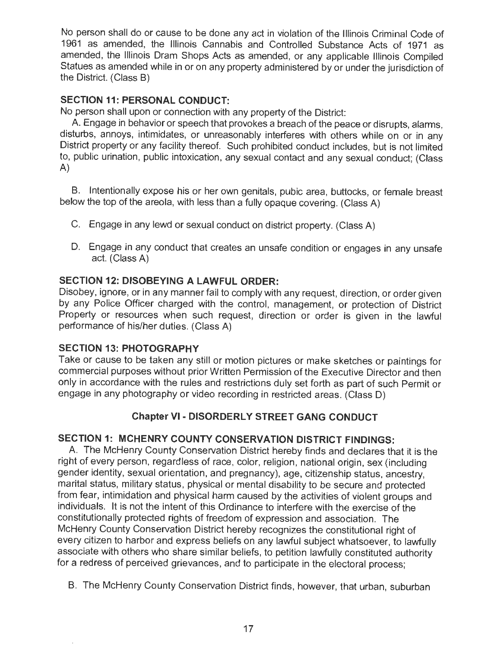No person shall do or cause to be done any act in violation of the Illinois Criminal Code of 1961 as amended, the Illinois Cannabis and Controlled Substance Acts of 1971 as amended, the Illinois Dram Shops Acts as amended, or any applicable Illinois Compiled Statues as amended while in or on any property administered by or under the jurisdiction of the District. (Class B)

# **SECTION 11: PERSONAL CONDUCT:**

No person shall upon or connection with any property of the District:

A. Engage in behavior or speech that provokes a breach of the peace or disrupts, alarms, disturbs, annoys, intimidates, or unreasonably interferes with others while on or in any District property or any facility thereof. Such prohibited conduct includes, but is not limited to, public urination, public intoxication, any sexual contact and any sexual conduct; (Class A)

B. Intentionally expose his or her own genitals, pubic area, buttocks, or female breast below the top of the areola, with less than a fully opaque covering. (Class A)

- C. Engage in any lewd or sexual conduct on district property. (Class A)
- D. Engage in any conduct that creates an unsafe condition or engages in any unsafe act. (Class A)

# **SECTION 12: DISOBEYING A LAWFUL ORDER:**

Disobey, ignore, or in any manner fail to comply with any request, direction, or order given by any Police Officer charged with the control, management, or protection of District Property or resources when such request, direction or order is given in the lawful performance of his/her duties. (Class A)

## **SECTION 13: PHOTOGRAPHY**

Take or cause to be taken any still or motion pictures or make sketches or paintings for commercial purposes without prior Written Permission of the Executive Director and then only in accordance with the rules and restrictions duly set forth as part of such Permit or engage in any photography or video recording in restricted areas. (Class D)

# **Chapter VI** - **DISORDERLY STREET GANG CONDUCT**

# **SECTION 1: MCHENRY COUNTY CONSERVATION DISTRICT FINDINGS:**

A. The McHenry County Conservation District hereby finds and declares that it is the right of every person, regardless of race, color, religion, national origin, sex (including gender identity, sexual orientation, and pregnancy), age, citizenship status, ancestry, marital status, military status, physical or mental disability to be secure and protected from fear, intimidation and physical harm caused by the activities of violent groups and individuals. It is not the intent of this Ordinance to interfere with the exercise of the constitutionally protected rights of freedom of expression and association. The McHenry County Conservation District hereby recognizes the constitutional right of every citizen to harbor and express beliefs on any lawful subject whatsoever, to lawfully associate with others who share similar beliefs, to petition lawfully constituted authority for a redress of perceived grievances, and to participate in the electoral process;

B. The McHenry County Conservation District finds, however, that urban, suburban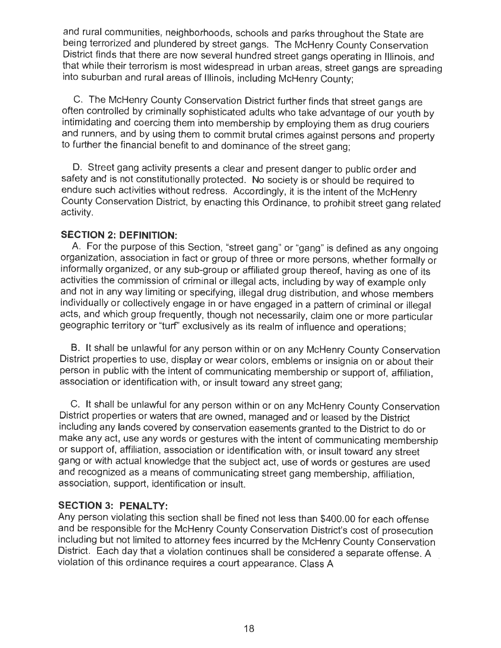and rural communities, neighborhoods, schools and parks throughout the State are being terrorized and plundered by street gangs. The McHenry County Conservation District finds that there are now several hundred street gangs operating in Illinois, and that while their terrorism is most widespread in urban areas, street gangs are spreading into suburban and rural areas of Illinois, including McHenry County;

C. The McHenry County Conservation District further finds that street gangs are often controlled by criminally sophisticated adults who take advantage of our youth by intimidating and coercing them into membership by employing them as drug couriers and runners, and by using them to commit brutal crimes against persons and property to further the financial benefit to and dominance of the street gang;

D. Street gang activity presents a clear and present danger to public order and safety and is not constitutionally protected. No society is or should be required to endure such activities without redress. Accordingly, it is the intent of the McHenry County Conservation District, by enacting this Ordinance, to prohibit street gang related activity.

## **SECTION 2: DEFINITION:**

A. For the purpose of this Section, "street gang" or "gang" is defined as any ongoing organization, association in fact or group of three or more persons, whether formally or informally organized, or any sub-group or affiliated group thereof, having as one of its activities the commission of criminal or illegal acts, including by way of example only and not in any way limiting or specifying, illegal drug distribution, and whose members individually or collectively engage in or have engaged in a pattern of criminal or illegal acts, and which group frequently, though not necessarily, claim one or more particular geographic territory or "turf' exclusively as its realm of influence and operations;

B. It shall be unlawful for any person within or on any McHenry County Conservation District properties to use, display or wear colors, emblems or insignia on or about their person in public with the intent of communicating membership or support of, affiliation, association or identification with, or insult toward any street gang;

C. It shall be unlawful for any person within or on any McHenry County Conservation District properties or waters that are owned, managed and or leased by the District including any lands covered by conservation easements granted to the District to do or make any act, use any words or gestures with the intent of communicating membership or support of, affiliation, association or identification with, or insult toward any street gang or with actual knowledge that the subject act, use of words or gestures are used and recognized as a means of communicating street gang membership, affiliation, association, support, identification or insult.

## **SECTION 3: PENALTY:**

Any person violating this section shall be fined not less than \$400.00 for each offense and be responsible for the McHenry County Conservation District's cost of prosecution including but not limited to attorney fees incurred by the McHenry County Conservation District. Each day that a violation continues shall be considered a separate offense. A violation of this ordinance requires a court appearance. Class A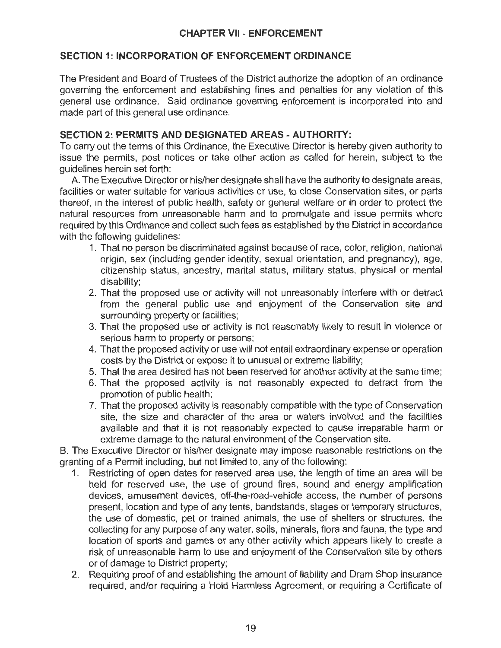# **SECTION 1: INCORPORATION OF ENFORCEMENT ORDINANCE**

The President and Board of Trustees of the District authorize the adoption of an ordinance governing the enforcement and establishing fines and penalties for any violation of this general use ordinance. Said ordinance governing enforcement is incorporated into and made part of this general use ordinance.

# **SECTION 2: PERMITS AND DESIGNATED AREAS - AUTHORITY:**

To carry out the terms of this Ordinance, the Executive Director is hereby given authority to issue the permits, post notices or take other action as called for herein, subject to the guidelines herein set forth:

A. The Executive Director or his/her designate shall have the authority to designate areas, facilities or water suitable for various activities or use, to close Conservation sites, or parts thereof, in the interest of public health, safety or general welfare or in order to protect the natural resources from unreasonable harm and to promulgate and issue permits where required by this Ordinance and collect such fees as established by the District in accordance with the following guidelines:

- 1. That no person be discriminated against because of race, color, religion, national origin, sex (including gender identity, sexual orientation, and pregnancy), age, citizenship status, ancestry, marital status, military status, physical or mental disability;
- 2. That the proposed use or activity will not unreasonably interfere with or detract from the general public use and enjoyment of the Conservation site and surrounding property or facilities;
- 3. That the proposed use or activity is not reasonably likely to result in violence or serious harm to property or persons;
- 4. That the proposed activity or use will not entail extraordinary expense or operation costs by the District or expose it to unusual or extreme liability;
- 5. That the area desired has not been reserved for another activity at the same time;
- 6. That the proposed activity is not reasonably expected to detract from the promotion of public health;
- 7. That the proposed activity is reasonably compatible with the type of Conservation site, the size and character of the area or waters involved and the facilities available and that it is not reasonably expected to cause irreparable harm or extreme damage to the natural environment of the Conservation site.

B. The Executive Director or his/her designate may impose reasonable restrictions on the granting of a Permit including, but not limited to, any of the following:

- 1. Restricting of open dates for reserved area use, the length of time an area will be held for reserved use, the use of ground fires, sound and energy amplification devices, amusement devices, off-the-road-vehicle access, the number of persons present, location and type of any tents, bandstands, stages or temporary structures, the use of domestic, pet or trained animals, the use of shelters or structures, the collecting for any purpose of any water, soils, minerals, flora and fauna, the type and location of sports and games or any other activity which appears likely to create a risk of unreasonable harm to use and enjoyment of the Conservation site by others or of damage to District property;
- 2. Requiring proof of and establishing the amount of liability and Dram Shop insurance required, and/or requiring a Hold Harmless Agreement, or requiring a Certificate of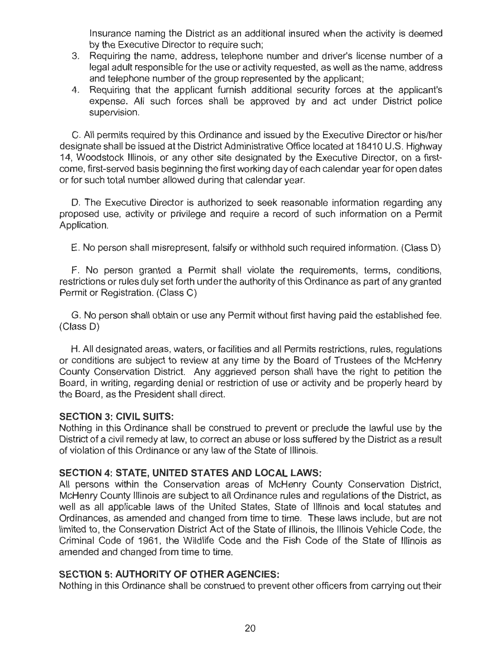Insurance naming the District as an additional insured when the activity is deemed by the Executive Director to require such;

- 3. Requiring the name, address, telephone number and driver's license number of a legal adult responsible for the use or activity requested, as well as the name, address and telephone number of the group represented by the applicant;
- 4. Requiring that the applicant furnish additional security forces at the applicant's expense. All such forces shall be approved by and act under District police supervision.

C. All permits required by this Ordinance and issued by the Executive Director or his/her designate shall be issued at the District Administrative Office located at 18410 U.S. Highway 14, Woodstock Illinois, or any other site designated by the Executive Director, on a firstcome, first-served basis beginning the first working day of each calendar year for open dates or for such total number allowed during that calendar year.

D. The Executive Director is authorized to seek reasonable information regarding any proposed use, activity or privilege and require a record of such information on a Permit Application.

E. No person shall misrepresent, falsify or withhold such required information. (Class D)

F. No person granted a Permit shall violate the requirements, terms, conditions, restrictions or rules duly set forth under the authority of this Ordinance as part of any granted Permit or Registration. (Class C)

G. No person shall obtain or use any Permit without first having paid the established fee. (Class D)

H. All designated areas, waters, or facilities and all Permits restrictions, rules, regulations or conditions are subject to review at any time by the Board of Trustees of the McHenry County Conservation District. Any aggrieved person shall have the right to petition the Board, in writing, regarding denial or restriction of use or activity and be properly heard by the Board, as the President shall direct.

## **SECTION 3: CIVIL SUITS:**

Nothing in this Ordinance shall be construed to prevent or preclude the lawful use by the District of a civil remedy at law, to correct an abuse or loss suffered by the District as a result of violation of this Ordinance or any law of the State of Illinois.

## **SECTION 4: STATE, UNITED STATES AND LOCAL LAWS:**

All persons within the Conservation areas of McHenry County Conservation District, McHenry County Illinois are subject to all Ordinance rules and regulations of the District, as well as all applicable laws of the United States, State of Illinois and local statutes and Ordinances, as amended and changed from time to time. These laws include, but are not limited to, the Conservation District Act of the State of Illinois, the Illinois Vehicle Code, the Criminal Code of 1961, the Wildlife Code and the Fish Code of the State of Illinois as amended and changed from time to time.

## **SECTION 5: AUTHORITY OF OTHER AGENCIES:**

Nothing in this Ordinance shall be construed to prevent other officers from carrying out their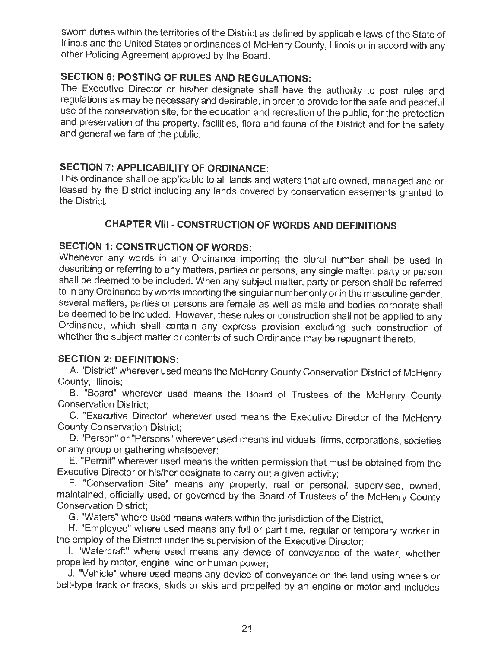sworn duties within the territories of the District as defined by applicable laws of the State of Illinois and the United States or ordinances of McHenry County, Illinois or in accord with any other Policing Agreement approved by the Board.

# **SECTION 6: POSTING OF RULES AND REGULATIONS:**

The Executive Director or his/her designate shall have the authority to post rules and regulations as may be necessary and desirable, in order to provide for the safe and peaceful use of the conservation site, for the education and recreation of the public, for the protection and preservation of the property, facilities, flora and fauna of the District and for the safety and general welfare of the public.

# **SECTION 7: APPLICABILITY OF ORDINANCE:**

This ordinance shall be applicable to all lands and waters that are owned, managed and or leased by the District including any lands covered by conservation easements granted to the District.

# **CHAPTER VIII** - **CONSTRUCTION OF WORDS AND DEFINITIONS**

# **SECTION 1: CONSTRUCTION OF WORDS:**

Whenever any words in any Ordinance importing the plural number shall be used in describing or referring to any matters, parties or persons, any single matter, party or person shall be deemed to be included. When any subject matter, party or person shall be referred to in any Ordinance by words importing the singular number only or in the masculine gender, several matters, parties or persons are female as well as male and bodies corporate shall be deemed to be included. However, these rules or construction shall not be applied to any Ordinance, which shall contain any express provision excluding such construction of whether the subject matter or contents of such Ordinance may be repugnant thereto.

## **SECTION 2: DEFINITIONS:**

A. "District" wherever used means the McHenry County Conservation District of McHenry County, Illinois;

B. "Board" wherever used means the Board of Trustees of the McHenry County Conservation District;

C. "Executive Director'' wherever used means the Executive Director of the McHenry County Conservation District;

D. "Person" or "Persons" wherever used means individuals, firms, corporations, societies or any group or gathering whatsoever;

E. "Permit" wherever used means the written permission that must be obtained from the Executive Director or his/her designate to carry out a given activity;

F. "Conservation Site" means any property, real or personal, supervised, owned, maintained, officially used, or governed by the Board of Trustees of the McHenry County Conservation District;

G. "Waters" where used means waters within the jurisdiction of the District;

H. "Employee" where used means any full or part time, regular or temporary worker in the employ of the District under the supervision of the Executive Director;

I. "Watercraft" where used means any device of conveyance of the water, whether propelled by motor, engine, wind or human power;

J. "Vehicle" where used means any device of conveyance on the land using wheels or belt-type track or tracks, skids or skis and propelled by an engine or motor and includes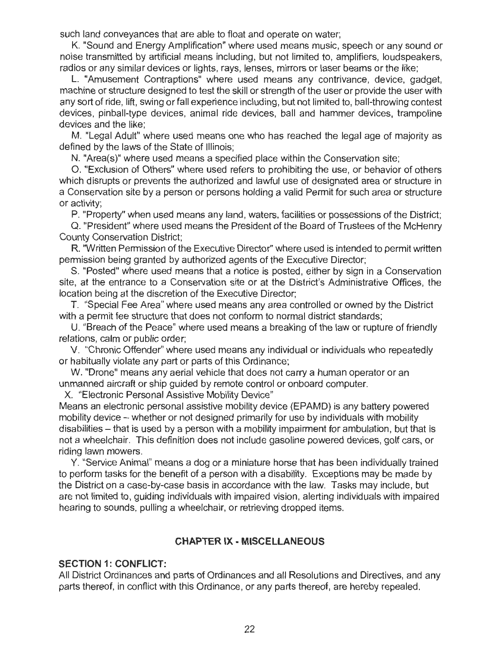such land conveyances that are able to float and operate on water;

K. "Sound and Energy Amplification" where used means music, speech or any sound or noise transmitted by artificial means including, but not limited to, amplifiers, loudspeakers, radios or any similar devices or lights, rays, lenses, mirrors or laser beams or the like;

L. "Amusement Contraptions" where used means any contrivance, device, gadget, machine or structure designed to test the skill or strength of the user or provide the user with any sort of ride, lift, swing or fall experience including, but not limited to, ball-throwing contest devices, pinball-type devices, animal ride devices, ball and hammer devices, trampoline devices and the like;

M. "Legal Adult" where used means one who has reached the legal age of majority as defined by the laws of the State of Illinois;

N. "Area(s)" where used means a specified place within the Conservation site;

0 . "Exclusion of Others" where used refers to prohibiting the use, or behavior of others which disrupts or prevents the authorized and lawful use of designated area or structure in a Conservation site by a person or persons holding a valid Permit for such area or structure or activity;

P. "Property" when used means any land, waters, facilities or possessions of the District;

Q. "President" where used means the President of the Board of Trustees of the McHenry County Conservation District;

R. "Written Permission of the Executive Director" where used is intended to permit written permission being granted by authorized agents of the Executive Director;

S. "Posted" where used means that a notice is posted, either by sign in a Conservation site, at the entrance to a Conservation site or at the District's Administrative Offices, the location being at the discretion of the Executive Director;

T. "Special Fee Area" where used means any area controlled or owned by the District with a permit fee structure that does not conform to normal district standards;

U. "Breach of the Peace" where used means a breaking of the law or rupture of friendly relations, calm or public order;

V. "Chronic Offender" where used means any individual or individuals who repeatedly or habitually violate any part or parts of this Ordinance;

W. "Drone" means any aerial vehicle that does not carry a human operator or an unmanned aircraft or ship guided by remote control or onboard computer.

X. "Electronic Personal Assistive Mobility Device"

Means an electronic personal assistive mobility device (EPAMD) is any battery powered mobility device - whether or not designed primarily for use by individuals with mobility disabilities - that is used by a person with a mobility impairment for ambulation, but that is not a wheelchair. This definition does not include gasoline powered devices, golf cars, or riding lawn mowers.

Y. "Service Animal" means a dog or a miniature horse that has been individually trained to perform tasks for the benefit of a person with a disability. Exceptions may be made by the District on a case-by-case basis in accordance with the law. Tasks may include, but are not limited to, guiding individuals with impaired vision, alerting individuals with impaired hearing to sounds, pulling a wheelchair, or retrieving dropped items.

## **CHAPTER IX** - **MISCELLANEOUS**

## **SECTION 1: CONFLICT:**

All District Ordinances and parts of Ordinances and all Resolutions and Directives, and any parts thereof, in conflict with this Ordinance, or any parts thereof, are hereby repealed.